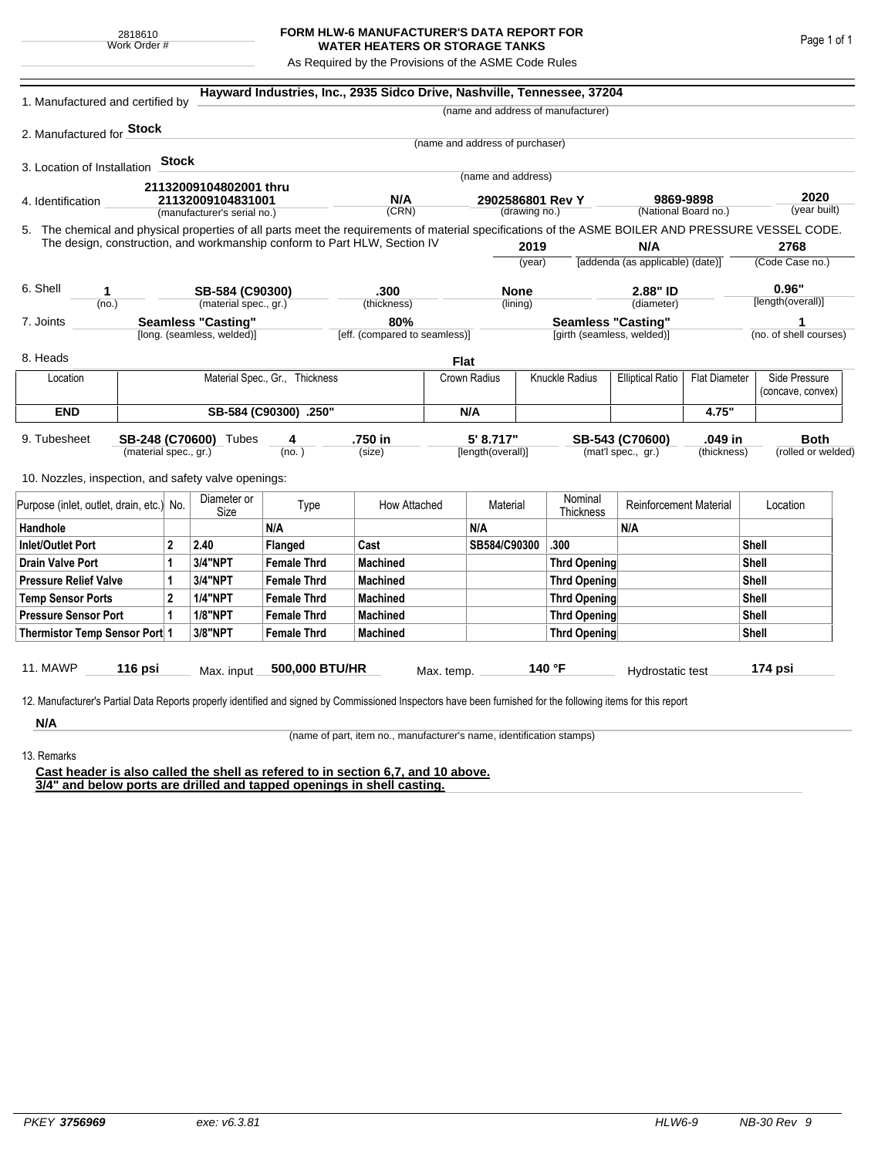## **FORM HLW-6 MANUFACTURER'S DATA REPORT FOR WATER HEATERS OR STORAGE TANKS**

As Required by the Provisions of the ASME Code Rules

| 1. Manufactured and certified by                                                                                                                              |                                                         |              |                                |                    | Hayward Industries, Inc., 2935 Sidco Drive, Nashville, Tennessee, 37204   |                                      |                                   |                                           |                                                         |                                  |                                   |                    |                        |  |
|---------------------------------------------------------------------------------------------------------------------------------------------------------------|---------------------------------------------------------|--------------|--------------------------------|--------------------|---------------------------------------------------------------------------|--------------------------------------|-----------------------------------|-------------------------------------------|---------------------------------------------------------|----------------------------------|-----------------------------------|--------------------|------------------------|--|
|                                                                                                                                                               |                                                         |              |                                |                    |                                                                           |                                      |                                   |                                           | (name and address of manufacturer)                      |                                  |                                   |                    |                        |  |
| 2. Manufactured for <b>Stock</b>                                                                                                                              |                                                         |              |                                |                    |                                                                           |                                      |                                   |                                           |                                                         |                                  |                                   |                    |                        |  |
|                                                                                                                                                               |                                                         |              |                                |                    |                                                                           |                                      | (name and address of purchaser)   |                                           |                                                         |                                  |                                   |                    |                        |  |
| 3. Location of Installation                                                                                                                                   |                                                         | <b>Stock</b> |                                |                    |                                                                           |                                      | (name and address)                |                                           |                                                         |                                  |                                   |                    |                        |  |
|                                                                                                                                                               |                                                         |              | 21132009104802001 thru         |                    |                                                                           |                                      |                                   |                                           |                                                         |                                  |                                   |                    |                        |  |
| 4. Identification                                                                                                                                             |                                                         |              | 21132009104831001              |                    | N/A<br>(CRN)                                                              |                                      | 2902586801 Rev Y<br>(drawing no.) |                                           |                                                         |                                  | 9869-9898<br>(National Board no.) |                    | 2020<br>(year built)   |  |
|                                                                                                                                                               |                                                         |              | (manufacturer's serial no.)    |                    |                                                                           |                                      |                                   |                                           |                                                         |                                  |                                   |                    |                        |  |
| 5. The chemical and physical properties of all parts meet the requirements of material specifications of the ASME BOILER AND PRESSURE VESSEL CODE.            |                                                         |              |                                |                    | The design, construction, and workmanship conform to Part HLW, Section IV |                                      |                                   | 2019                                      |                                                         | N/A                              |                                   |                    | 2768                   |  |
|                                                                                                                                                               |                                                         |              |                                |                    |                                                                           |                                      |                                   | (year)                                    |                                                         | [addenda (as applicable) (date)] |                                   | (Code Case no.)    |                        |  |
|                                                                                                                                                               |                                                         |              |                                |                    |                                                                           |                                      |                                   |                                           |                                                         |                                  |                                   |                    |                        |  |
| 6. Shell<br>1                                                                                                                                                 |                                                         |              | SB-584 (C90300)                |                    | .300                                                                      |                                      | <b>None</b>                       |                                           |                                                         | 2.88" ID                         |                                   | 0.96"              |                        |  |
| (no.)                                                                                                                                                         |                                                         |              | (material spec., gr.)          |                    | (thickness)                                                               |                                      |                                   | (lining)                                  |                                                         | (diameter)                       |                                   |                    | [length(overall)]      |  |
| 7. Joints                                                                                                                                                     | <b>Seamless "Casting"</b><br>[long. (seamless, welded)] |              |                                |                    |                                                                           | 80%<br>[eff. (compared to seamless)] |                                   |                                           | <b>Seamless "Casting"</b><br>[girth (seamless, welded)] |                                  |                                   |                    | (no. of shell courses) |  |
|                                                                                                                                                               |                                                         |              |                                |                    |                                                                           |                                      |                                   |                                           |                                                         |                                  |                                   |                    |                        |  |
| 8. Heads                                                                                                                                                      |                                                         |              |                                |                    |                                                                           | <b>Flat</b>                          |                                   |                                           |                                                         |                                  |                                   |                    |                        |  |
| Location                                                                                                                                                      |                                                         |              | Material Spec., Gr., Thickness |                    |                                                                           | Crown Radius                         |                                   | Knuckle Radius<br><b>Elliptical Ratio</b> |                                                         | <b>Flat Diameter</b>             |                                   | Side Pressure      |                        |  |
|                                                                                                                                                               |                                                         |              |                                |                    |                                                                           |                                      |                                   |                                           |                                                         |                                  |                                   |                    | (concave, convex)      |  |
| <b>END</b>                                                                                                                                                    | SB-584 (C90300) .250"                                   |              |                                |                    |                                                                           |                                      | N/A                               |                                           |                                                         |                                  | 4.75"                             |                    |                        |  |
| 9. Tubesheet                                                                                                                                                  |                                                         |              | SB-248 (C70600) Tubes          | 4                  | .750 in                                                                   |                                      | 5' 8.717"                         |                                           |                                                         | SB-543 (C70600)                  | .049 in                           |                    | <b>Both</b>            |  |
| (material spec., gr.)                                                                                                                                         |                                                         |              | (no. )                         |                    | (size)                                                                    |                                      | [length(overall)]                 |                                           | (mat'l spec., gr.)<br>(thickness)                       |                                  |                                   | (rolled or welded) |                        |  |
| 10. Nozzles, inspection, and safety valve openings:                                                                                                           |                                                         |              |                                |                    |                                                                           |                                      |                                   |                                           |                                                         |                                  |                                   |                    |                        |  |
|                                                                                                                                                               |                                                         |              |                                |                    |                                                                           |                                      |                                   |                                           |                                                         |                                  |                                   |                    |                        |  |
| Purpose (inlet, outlet, drain, etc.) No.                                                                                                                      |                                                         |              | Diameter or<br>Size            | Type               | How Attached                                                              |                                      | Material                          |                                           | Nominal<br>Thickness                                    | <b>Reinforcement Material</b>    |                                   |                    | Location               |  |
| Handhole                                                                                                                                                      |                                                         |              |                                | N/A                |                                                                           |                                      | N/A                               |                                           |                                                         | N/A                              |                                   |                    |                        |  |
| <b>Inlet/Outlet Port</b>                                                                                                                                      |                                                         | $\mathbf{2}$ | 2.40                           | Flanged            | Cast                                                                      |                                      | SB584/C90300                      |                                           | .300                                                    |                                  |                                   | Shell              |                        |  |
| <b>Drain Valve Port</b><br>1                                                                                                                                  |                                                         | 3/4"NPT      | <b>Female Thrd</b>             | <b>Machined</b>    |                                                                           |                                      |                                   | <b>Thrd Opening</b>                       |                                                         |                                  | Shell                             |                    |                        |  |
| <b>Pressure Relief Valve</b><br>1                                                                                                                             |                                                         |              | 3/4"NPT                        | <b>Female Thrd</b> | <b>Machined</b>                                                           |                                      |                                   | <b>Thrd Opening</b>                       |                                                         |                                  |                                   | Shell              |                        |  |
| $\overline{2}$<br><b>Temp Sensor Ports</b>                                                                                                                    |                                                         |              | <b>1/4"NPT</b>                 | <b>Female Thrd</b> | <b>Machined</b>                                                           |                                      |                                   | <b>Thrd Opening</b>                       |                                                         |                                  |                                   |                    | Shell                  |  |
| <b>Pressure Sensor Port</b><br>1                                                                                                                              |                                                         |              | <b>1/8"NPT</b>                 | <b>Female Thrd</b> | <b>Machined</b>                                                           |                                      |                                   |                                           | Thrd Opening                                            |                                  |                                   | Shell              |                        |  |
| Thermistor Temp Sensor Port 1                                                                                                                                 |                                                         |              | 3/8"NPT                        | <b>Female Thrd</b> | <b>Machined</b>                                                           |                                      |                                   | Thrd Opening                              |                                                         |                                  | Shell                             |                    |                        |  |
|                                                                                                                                                               |                                                         |              |                                |                    |                                                                           |                                      |                                   |                                           |                                                         |                                  |                                   |                    |                        |  |
| 11. MAWP                                                                                                                                                      | 116 psi                                                 |              | Max. input                     | 500,000 BTU/HR     |                                                                           | Max. temp.                           |                                   |                                           | 140 °F                                                  | Hydrostatic test                 |                                   |                    | 174 psi                |  |
|                                                                                                                                                               |                                                         |              |                                |                    |                                                                           |                                      |                                   |                                           |                                                         |                                  |                                   |                    |                        |  |
| 12. Manufacturer's Partial Data Reports properly identified and signed by Commissioned Inspectors have been furnished for the following items for this report |                                                         |              |                                |                    |                                                                           |                                      |                                   |                                           |                                                         |                                  |                                   |                    |                        |  |
| N/A                                                                                                                                                           |                                                         |              |                                |                    |                                                                           |                                      |                                   |                                           |                                                         |                                  |                                   |                    |                        |  |

(name of part, item no., manufacturer's name, identification stamps)

13. Remarks

**Cast header is also called the shell as refered to in section 6,7, and 10 above. 3/4" and below ports are drilled and tapped openings in shell casting.**